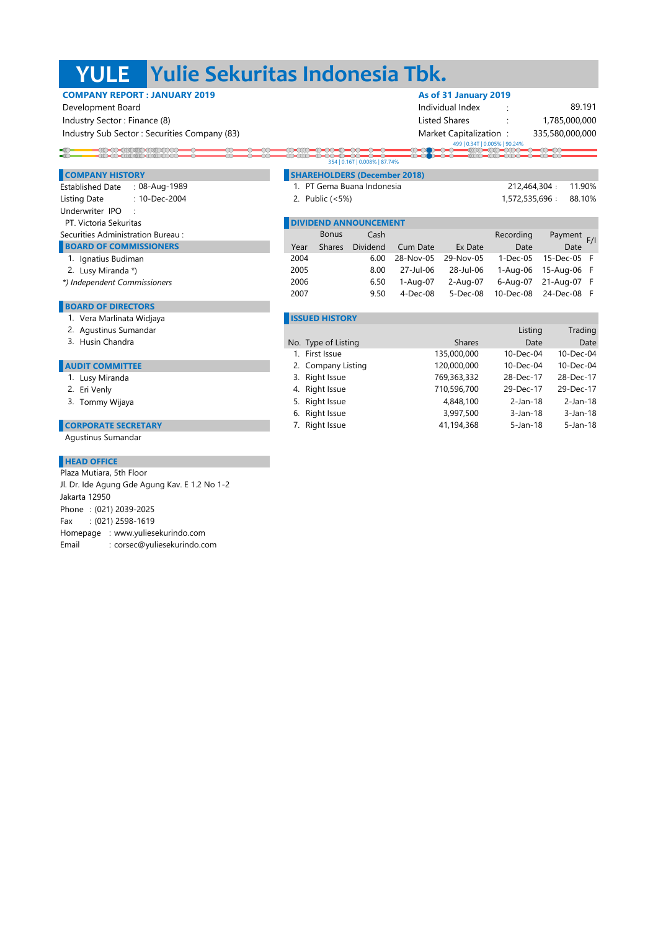# **YULE Yulie Sekuritas Indonesia Tbk.**

### **COMPANY REPORT : JANUARY 2019 As of 31 January 2019**

-10-00-1110110-111010000-<br>- 110-00-11110 11110 11110 1110

Industry Sector : Finance (8) lateration of the state of the state of the state of the state Shares in the state of the state of the state of the state of the state of the state of the state of the state of the state of th Industry Sub Sector : Securities Company (83) Market Capitalization : Market Capitalization :

 Development Board Individual Index : 335,580,000,000 1,785,000,000 89.191

F 6.50 1-Aug-07 2-Aug-07 6-Aug-07 21-Aug-07

4-Dec-08 5-Dec-08 10-Dec-08 F

499 | 0.34T | 0.005% | 90.24%

212,464,304 1,572,535,696 : 88.10%

 $\frac{\infty}{\infty}$ 

F/I

#### **Conduct** 354 | 0.16T | 0.008% | 87.74%

### **COMPANY HISTORY SHAREHOLDERS (December 2018)**

 $\blacksquare$ 

Established Date : : 08-Aug-1989 Listing Date : : 2. Public (<5%) Underwriter IPO : PT. Victoria Sekuritas **DIVIDENTE EN ENGLISHED ANNOUNCEMENT** 10-Dec-2004

### Securities Administration Bureau : Cash Cash Cash Recording Payment

## **BOARD OF COMMISSIONERS** Dividend Cum Date Ex Date Date Date Date Date

- 1. Ignatius Budiman
- 2. Lusy Miranda\*)
- *\*) Independent Commissioners*

#### **BOARD OF DIRECTORS**

- 1. Vera Marlinata Widjaya **Inggres and American Constantine Constantine Constantine Constantine Constantine Constantine Constantine Constantine Constantine Constantine Constantine Constantine Constantine Constantine Consta**
- 
- 

#### **AUDIT COMMITTEE**

- 1. Lusy Miranda
- 2. Eri Venly
- 3. Tommy Wijaya
- 

**CORPORATE SECRETARY** Agustinus Sumandar

#### **HEAD OFFICE**

Phone : (021) 2039-2025 Fax : (021) 2598-1619 Homepage : www.yuliesekurindo.com Email : corsec@yuliesekurindo.com Plaza Mutiara, 5th Floor Jl. Dr. Ide Agung Gde Agung Kav. E 1.2 No 1-2 Jakarta 12950

2006

Bonus

Shares Dividend

| 2. Agustinus Sumandar      |                     |               | Listing        | Trading        |
|----------------------------|---------------------|---------------|----------------|----------------|
| 3. Husin Chandra           | No. Type of Listing | <b>Shares</b> | Date           | Date           |
|                            | 1. First Issue      | 135,000,000   | 10-Dec-04      | 10-Dec-04      |
| <b>AUDIT COMMITTEE</b>     | 2. Company Listing  | 120,000,000   | 10-Dec-04      | 10-Dec-04      |
| 1. Lusy Miranda            | 3. Right Issue      | 769,363,332   | 28-Dec-17      | 28-Dec-17      |
| 2. Eri Venly               | 4. Right Issue      | 710,596,700   | 29-Dec-17      | 29-Dec-17      |
| 3. Tommy Wijaya            | 5. Right Issue      | 4,848,100     | 2-Jan-18       | 2-Jan-18       |
|                            | 6. Right Issue      | 3,997,500     | $3$ -Jan-18    | 3-Jan-18       |
| <b>CORPORATE SECRETARY</b> | 7. Right Issue      | 41,194,368    | $5 - Jan - 18$ | $5 - Jan - 18$ |
|                            |                     |               |                |                |

2004 6.00 28-Nov-05 29-Nov-05 1-Dec-05 15-Dec-05 F 2005 8.00 27-Jul-06 28-Jul-06 1-Aug-06 15-Aug-06 F

2007 9.50 4-Dec-08 5-Dec-08 10-Dec-08

1. 11.90% PT Gema Buana Indonesia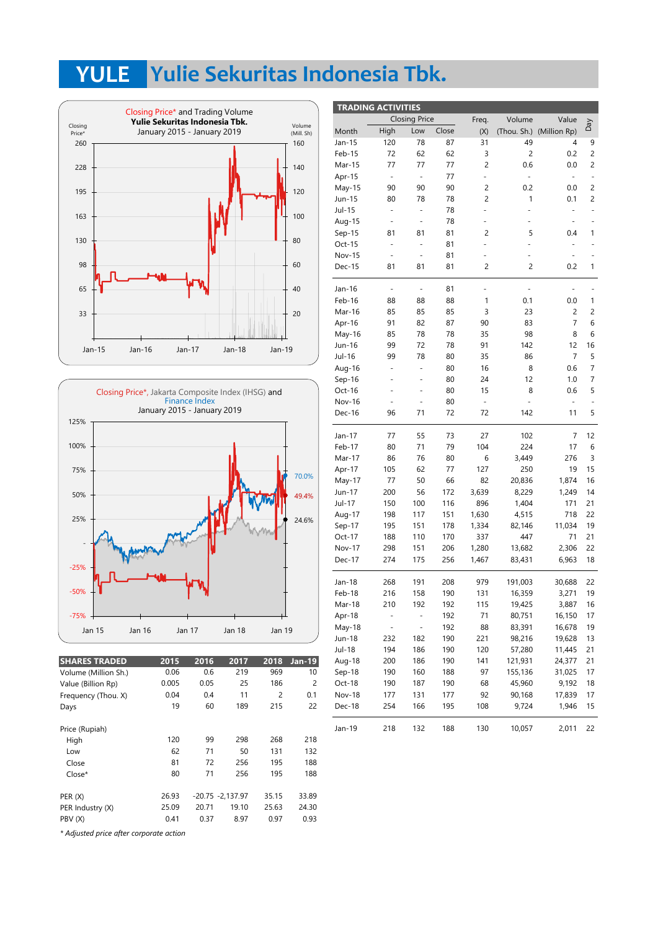# **YULE Yulie Sekuritas Indonesia Tbk.**





| <b>SHARES TRADED</b> | 2015  | 2016               | 2017  | 2018           | <b>Jan-19</b> | Aug-18   |
|----------------------|-------|--------------------|-------|----------------|---------------|----------|
| Volume (Million Sh.) | 0.06  | 0.6                | 219   | 969            | 10            | $Sep-18$ |
| Value (Billion Rp)   | 0.005 | 0.05               | 25    | 186            | 2             | Oct-18   |
| Frequency (Thou. X)  | 0.04  | 0.4                | 11    | $\overline{2}$ | 0.1           | Nov-18   |
| Days                 | 19    | 60                 | 189   | 215            | 22            | Dec-18   |
| Price (Rupiah)       |       |                    |       |                |               | Jan-19   |
| High                 | 120   | 99                 | 298   | 268            | 218           |          |
| Low                  | 62    | 71                 | 50    | 131            | 132           |          |
| Close                | 81    | 72                 | 256   | 195            | 188           |          |
| $Close*$             | 80    | 71                 | 256   | 195            | 188           |          |
| PER(X)               | 26.93 | $-20.75 -2.137.97$ |       | 35.15          | 33.89         |          |
| PER Industry (X)     | 25.09 | 20.71              | 19.10 | 25.63          | 24.30         |          |
| PBV (X)              | 0.41  | 0.37               | 8.97  | 0.97           | 0.93          |          |
|                      |       |                    |       |                |               |          |

| <b>TRADING ACTIVITIES</b> |                          |                          |       |                          |                          |                          |                |
|---------------------------|--------------------------|--------------------------|-------|--------------------------|--------------------------|--------------------------|----------------|
|                           |                          | <b>Closing Price</b>     |       | Freq.                    | Volume                   | Value                    |                |
| Month                     | High                     | Low                      | Close | (X)                      |                          | (Thou. Sh.) (Million Rp) | Day            |
| Jan-15                    | 120                      | 78                       | 87    | 31                       | 49                       | 4                        | 9              |
| Feb-15                    | 72                       | 62                       | 62    | 3                        | $\overline{c}$           | 0.2                      | $\overline{c}$ |
| Mar-15                    | 77                       | 77                       | 77    | 2                        | 0.6                      | 0.0                      | 2              |
| Apr-15                    | $\overline{\phantom{a}}$ | $\frac{1}{2}$            | 77    | $\overline{\phantom{a}}$ | $\overline{\phantom{a}}$ | ۰                        | ÷              |
| May-15                    | 90                       | 90                       | 90    | 2                        | 0.2                      | 0.0                      | $\overline{c}$ |
| Jun-15                    | 80                       | 78                       | 78    | 2                        | 1                        | 0.1                      | 2              |
| Jul-15                    | ÷,                       | ÷,                       | 78    | ÷,                       |                          | ÷,                       | ÷              |
| Aug-15                    | ÷,                       | ÷                        | 78    |                          |                          | -                        |                |
| Sep-15                    | 81                       | 81                       | 81    | 2                        | 5                        | 0.4                      | 1              |
| Oct-15                    | ÷,                       | ÷,                       | 81    | ÷,                       |                          |                          |                |
| <b>Nov-15</b>             |                          |                          | 81    |                          |                          |                          |                |
| Dec-15                    | 81                       | 81                       | 81    | 2                        | $\overline{c}$           | 0.2                      | 1              |
| Jan-16                    | $\overline{\phantom{0}}$ | $\overline{\phantom{m}}$ | 81    | $\overline{\phantom{m}}$ | $\overline{\phantom{0}}$ | -                        |                |
| Feb-16                    | 88                       | 88                       | 88    | 1                        | 0.1                      | 0.0                      | 1              |
| Mar-16                    | 85                       | 85                       | 85    | 3                        | 23                       | 2                        | 2              |
| Apr-16                    | 91                       | 82                       | 87    | 90                       | 83                       | 7                        | 6              |
| May-16                    | 85                       | 78                       | 78    | 35                       | 98                       | 8                        | 6              |
| Jun-16                    | 99                       | 72                       | 78    | 91                       | 142                      | 12                       | 16             |
| Jul-16                    | 99                       | 78                       | 80    | 35                       | 86                       | 7                        | 5              |
| Aug-16                    | $\overline{\phantom{m}}$ | ÷,                       | 80    | 16                       | 8                        | 0.6                      | 7              |
| Sep-16                    |                          | ä,                       | 80    | 24                       | 12                       | 1.0                      | 7              |
| Oct-16                    |                          |                          | 80    | 15                       | 8                        | 0.6                      | 5              |
| <b>Nov-16</b>             | ٠                        | ÷,                       | 80    | $\overline{\phantom{a}}$ | ÷,                       | ۰                        |                |
| Dec-16                    | 96                       | 71                       | 72    | 72                       | 142                      | 11                       | 5              |
| Jan-17                    | 77                       | 55                       | 73    | 27                       | 102                      | 7                        | 12             |
| Feb-17                    | 80                       | 71                       | 79    | 104                      | 224                      | 17                       | 6              |
| Mar-17                    | 86                       | 76                       | 80    | 6                        | 3,449                    | 276                      | 3              |
| Apr-17                    | 105                      | 62                       | 77    | 127                      | 250                      | 19                       | 15             |
| May-17                    | 77                       | 50                       | 66    | 82                       | 20,836                   | 1,874                    | 16             |
| Jun-17                    | 200                      | 56                       | 172   | 3,639                    | 8,229                    | 1,249                    | 14             |
| Jul-17                    | 150                      | 100                      | 116   | 896                      | 1,404                    | 171                      | 21             |
| Aug-17                    | 198                      | 117                      | 151   | 1,630                    | 4,515                    | 718                      | 22             |
| Sep-17                    | 195                      | 151                      | 178   | 1,334                    | 82,146                   | 11,034                   | 19             |
| Oct-17                    | 188                      | 110                      | 170   | 337                      | 447                      | 71                       | 21             |
| <b>Nov-17</b>             | 298                      | 151                      | 206   | 1,280                    | 13,682                   | 2,306                    | 22             |
| Dec-17                    | 274                      | 175                      | 256   | 1,467                    | 83,431                   | 6,963                    | 18             |
| Jan-18                    | 268                      | 191                      | 208   | 979                      | 191,003                  | 30,688                   | 22             |
| Feb-18                    | 216                      | 158                      | 190   | 131                      | 16,359                   | 3,271                    | 19             |
| Mar-18                    | 210                      | 192                      | 192   | 115                      | 19,425                   | 3,887                    | 16             |
| Apr-18                    |                          |                          | 192   | 71                       | 80,751                   | 16,150                   | 17             |
| May-18                    | -                        | $\overline{\phantom{0}}$ | 192   | 88                       | 83,391                   | 16,678                   | 19             |
| Jun-18                    | 232                      | 182                      | 190   | 221                      | 98,216                   | 19,628                   | 13             |
| Jul-18                    | 194                      | 186                      | 190   | 120                      | 57,280                   | 11,445                   | 21             |
| Aug-18                    | 200                      | 186                      | 190   | 141                      | 121,931                  | 24,377                   | 21             |
| Sep-18                    | 190                      | 160                      | 188   | 97                       | 155,136                  | 31,025                   | 17             |
| Oct-18                    | 190                      | 187                      | 190   | 68                       | 45,960                   | 9,192                    | 18             |
| Nov-18                    | 177                      | 131                      | 177   | 92                       | 90,168                   | 17,839                   | 17             |
| Dec-18                    | 254                      | 166                      | 195   | 108                      | 9,724                    | 1,946                    | 15             |
| Jan-19                    | 218                      | 132                      | 188   | 130                      | 10,057                   | 2,011                    | 22             |

*\* Adjusted price after corporate action*